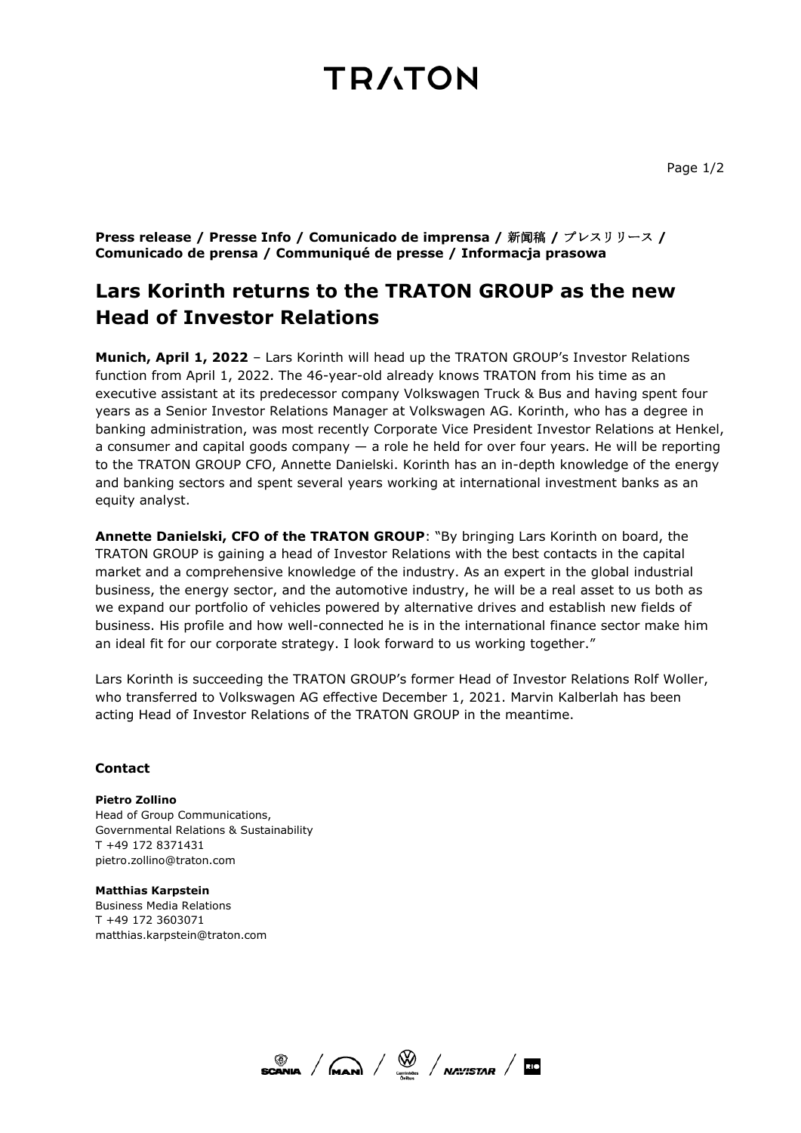# **TRATON**

**Press release / Presse Info / Comunicado de imprensa /** 新闻稿 **/** プレスリリース **/ Comunicado de prensa / Communiqué de presse / Informacja prasowa**

### **Lars Korinth returns to the TRATON GROUP as the new Head of Investor Relations**

**Munich, April 1, 2022** – Lars Korinth will head up the TRATON GROUP's Investor Relations function from April 1, 2022. The 46-year-old already knows TRATON from his time as an executive assistant at its predecessor company Volkswagen Truck & Bus and having spent four years as a Senior Investor Relations Manager at Volkswagen AG. Korinth, who has a degree in banking administration, was most recently Corporate Vice President Investor Relations at Henkel, a consumer and capital goods company — a role he held for over four years. He will be reporting to the TRATON GROUP CFO, Annette Danielski. Korinth has an in-depth knowledge of the energy and banking sectors and spent several years working at international investment banks as an equity analyst.

**Annette Danielski, CFO of the TRATON GROUP**: "By bringing Lars Korinth on board, the TRATON GROUP is gaining a head of Investor Relations with the best contacts in the capital market and a comprehensive knowledge of the industry. As an expert in the global industrial business, the energy sector, and the automotive industry, he will be a real asset to us both as we expand our portfolio of vehicles powered by alternative drives and establish new fields of business. His profile and how well-connected he is in the international finance sector make him an ideal fit for our corporate strategy. I look forward to us working together."

Lars Korinth is succeeding the TRATON GROUP's former Head of Investor Relations Rolf Woller, who transferred to Volkswagen AG effective December 1, 2021. Marvin Kalberlah has been acting Head of Investor Relations of the TRATON GROUP in the meantime.

### **Contact**

**Pietro Zollino** Head of Group Communications, Governmental Relations & Sustainability T +49 172 8371431 pietro.zollino@traton.com

**Matthias Karpstein**  Business Media Relations T +49 172 3603071 matthias.karpstein@traton.com